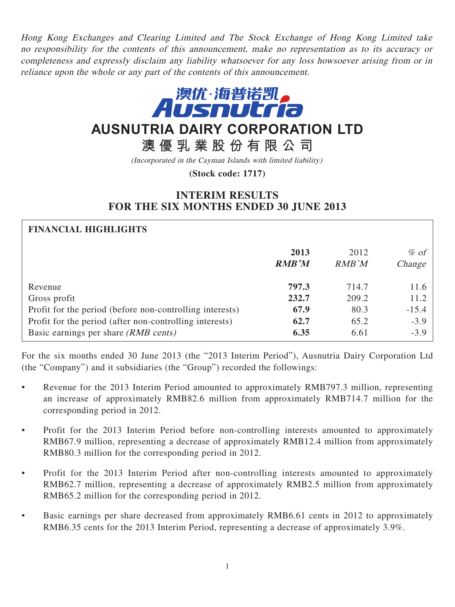Hong Kong Exchanges and Clearing Limited and The Stock Exchange of Hong Kong Limited take no responsibility for the contents of this announcement, make no representation as to its accuracy or completeness and expressly disclaim any liability whatsoever for any loss howsoever arising from or in reliance upon the whole or any part of the contents of this announcement.



# **AUSNUTRIA DAIRY CORPORATION LTD**

**澳優乳業股份有限公司**

(Incorporated in the Cayman Islands with limited liability)

**(Stock code: 1717)**

# **INTERIM RESULTS FOR THE SIX MONTHS ENDED 30 JUNE 2013**

| <b>FINANCIAL HIGHLIGHTS</b>                              |              |       |         |
|----------------------------------------------------------|--------------|-------|---------|
|                                                          | 2013         | 2012  | $\%$ of |
|                                                          | <b>RMB'M</b> | RMB'M | Change  |
| Revenue                                                  | 797.3        | 714.7 | 11.6    |
| Gross profit                                             | 232.7        | 209.2 | 11.2    |
| Profit for the period (before non-controlling interests) | 67.9         | 80.3  | $-15.4$ |
| Profit for the period (after non-controlling interests)  | 62.7         | 65.2  | $-3.9$  |
| Basic earnings per share (RMB cents)                     | 6.35         | 6.61  | $-3.9$  |

For the six months ended 30 June 2013 (the "2013 Interim Period"), Ausnutria Dairy Corporation Ltd (the "Company") and it subsidiaries (the "Group") recorded the followings:

- Revenue for the 2013 Interim Period amounted to approximately RMB797.3 million, representing an increase of approximately RMB82.6 million from approximately RMB714.7 million for the corresponding period in 2012.
- Profit for the 2013 Interim Period before non-controlling interests amounted to approximately RMB67.9 million, representing a decrease of approximately RMB12.4 million from approximately RMB80.3 million for the corresponding period in 2012.
- Profit for the 2013 Interim Period after non-controlling interests amounted to approximately RMB62.7 million, representing a decrease of approximately RMB2.5 million from approximately RMB65.2 million for the corresponding period in 2012.
- Basic earnings per share decreased from approximately RMB6.61 cents in 2012 to approximately RMB6.35 cents for the 2013 Interim Period, representing a decrease of approximately 3.9%.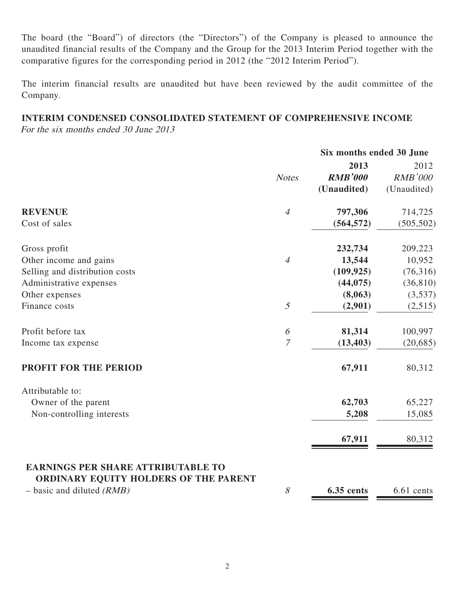The board (the "Board") of directors (the "Directors") of the Company is pleased to announce the unaudited financial results of the Company and the Group for the 2013 Interim Period together with the comparative figures for the corresponding period in 2012 (the "2012 Interim Period").

The interim financial results are unaudited but have been reviewed by the audit committee of the Company.

# **INTERIM CONDENSED CONSOLIDATED STATEMENT OF COMPREHENSIVE INCOME**

For the six months ended 30 June 2013

|                                                                                           | Six months ended 30 June |                        |                        |
|-------------------------------------------------------------------------------------------|--------------------------|------------------------|------------------------|
|                                                                                           | <b>Notes</b>             | 2013<br><b>RMB'000</b> | 2012<br><b>RMB'000</b> |
|                                                                                           |                          | (Unaudited)            | (Unaudited)            |
| <b>REVENUE</b>                                                                            | $\overline{4}$           | 797,306                | 714,725                |
| Cost of sales                                                                             |                          | (564, 572)             | (505, 502)             |
| Gross profit                                                                              |                          | 232,734                | 209,223                |
| Other income and gains                                                                    | $\overline{4}$           | 13,544                 | 10,952                 |
| Selling and distribution costs                                                            |                          | (109, 925)             | (76,316)               |
| Administrative expenses                                                                   |                          | (44, 075)              | (36, 810)              |
| Other expenses                                                                            |                          | (8,063)                | (3,537)                |
| Finance costs                                                                             | $\mathfrak{I}$           | (2,901)                | (2,515)                |
| Profit before tax                                                                         | 6                        | 81,314                 | 100,997                |
| Income tax expense                                                                        | $\overline{7}$           | (13, 403)              | (20, 685)              |
| PROFIT FOR THE PERIOD                                                                     |                          | 67,911                 | 80,312                 |
| Attributable to:                                                                          |                          |                        |                        |
| Owner of the parent                                                                       |                          | 62,703                 | 65,227                 |
| Non-controlling interests                                                                 |                          | 5,208                  | 15,085                 |
|                                                                                           |                          | 67,911                 | 80,312                 |
| <b>EARNINGS PER SHARE ATTRIBUTABLE TO</b><br><b>ORDINARY EQUITY HOLDERS OF THE PARENT</b> | 8                        |                        |                        |
| $-$ basic and diluted (RMB)                                                               |                          | <b>6.35 cents</b>      | 6.61 cents             |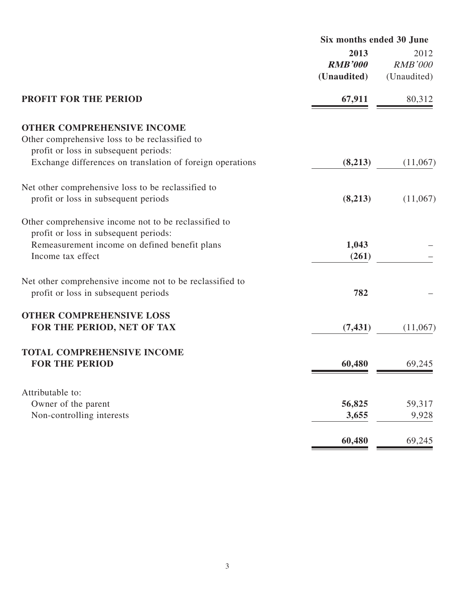|                                                           | Six months ended 30 June              |                                       |
|-----------------------------------------------------------|---------------------------------------|---------------------------------------|
|                                                           | 2013<br><b>RMB'000</b><br>(Unaudited) | 2012<br><b>RMB'000</b><br>(Unaudited) |
| <b>PROFIT FOR THE PERIOD</b>                              | 67,911                                | 80,312                                |
| <b>OTHER COMPREHENSIVE INCOME</b>                         |                                       |                                       |
| Other comprehensive loss to be reclassified to            |                                       |                                       |
| profit or loss in subsequent periods:                     |                                       |                                       |
| Exchange differences on translation of foreign operations | (8,213)                               | (11,067)                              |
| Net other comprehensive loss to be reclassified to        |                                       |                                       |
| profit or loss in subsequent periods                      | (8,213)                               | (11,067)                              |
| Other comprehensive income not to be reclassified to      |                                       |                                       |
| profit or loss in subsequent periods:                     |                                       |                                       |
| Remeasurement income on defined benefit plans             | 1,043                                 |                                       |
| Income tax effect                                         | (261)                                 |                                       |
| Net other comprehensive income not to be reclassified to  |                                       |                                       |
| profit or loss in subsequent periods                      | 782                                   |                                       |
| <b>OTHER COMPREHENSIVE LOSS</b>                           |                                       |                                       |
| FOR THE PERIOD, NET OF TAX                                | (7, 431)                              | (11,067)                              |
| <b>TOTAL COMPREHENSIVE INCOME</b>                         |                                       |                                       |
| <b>FOR THE PERIOD</b>                                     | 60,480                                | 69,245                                |
|                                                           |                                       |                                       |
| Attributable to:<br>Owner of the parent                   | 56,825                                | 59,317                                |
| Non-controlling interests                                 | 3,655                                 | 9,928                                 |
|                                                           |                                       |                                       |
|                                                           | 60,480                                | 69,245                                |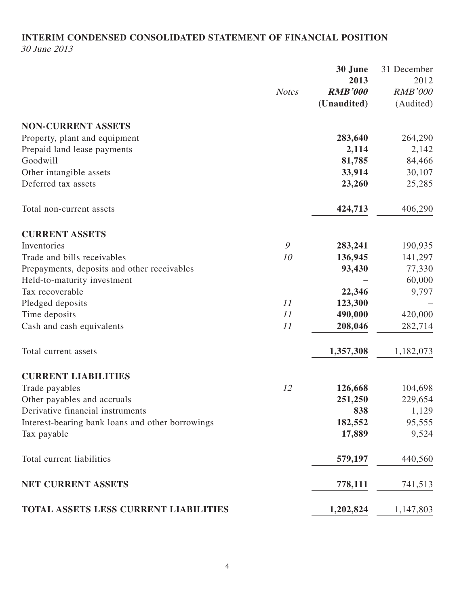# **INTERIM CONDENSED CONSOLIDATED STATEMENT OF FINANCIAL POSITION** 30 June 2013

|                                                  |              | 30 June        | 31 December    |
|--------------------------------------------------|--------------|----------------|----------------|
|                                                  |              | 2013           | 2012           |
|                                                  | <b>Notes</b> | <b>RMB'000</b> | <b>RMB'000</b> |
|                                                  |              | (Unaudited)    | (Audited)      |
| <b>NON-CURRENT ASSETS</b>                        |              |                |                |
| Property, plant and equipment                    |              | 283,640        | 264,290        |
| Prepaid land lease payments                      |              | 2,114          | 2,142          |
| Goodwill                                         |              | 81,785         | 84,466         |
| Other intangible assets                          |              | 33,914         | 30,107         |
| Deferred tax assets                              |              | 23,260         | 25,285         |
| Total non-current assets                         |              | 424,713        | 406,290        |
| <b>CURRENT ASSETS</b>                            |              |                |                |
| Inventories                                      | 9            | 283,241        | 190,935        |
| Trade and bills receivables                      | 10           | 136,945        | 141,297        |
| Prepayments, deposits and other receivables      |              | 93,430         | 77,330         |
| Held-to-maturity investment                      |              |                | 60,000         |
| Tax recoverable                                  |              | 22,346         | 9,797          |
| Pledged deposits                                 | 11           | 123,300        |                |
| Time deposits                                    | 11           | 490,000        | 420,000        |
| Cash and cash equivalents                        | 11           | 208,046        | 282,714        |
| Total current assets                             |              | 1,357,308      | 1,182,073      |
| <b>CURRENT LIABILITIES</b>                       |              |                |                |
| Trade payables                                   | 12           | 126,668        | 104,698        |
| Other payables and accruals                      |              | 251,250        | 229,654        |
| Derivative financial instruments                 |              | 838            | 1,129          |
| Interest-bearing bank loans and other borrowings |              | 182,552        | 95,555         |
| Tax payable                                      |              | 17,889         | 9,524          |
| Total current liabilities                        |              | 579,197        | 440,560        |
| NET CURRENT ASSETS                               |              | 778,111        | 741,513        |
| TOTAL ASSETS LESS CURRENT LIABILITIES            |              | 1,202,824      | 1,147,803      |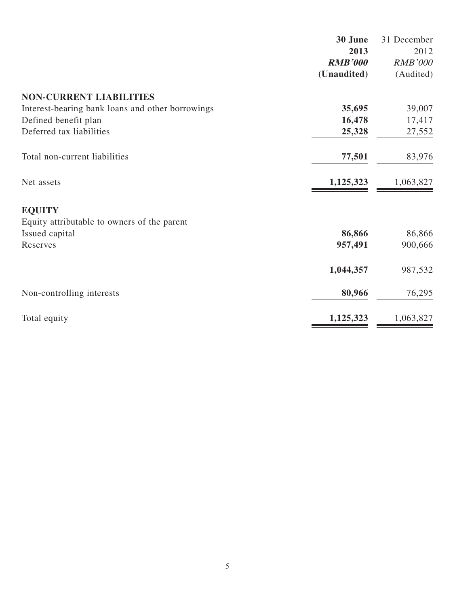|                                                  | 30 June        | 31 December    |
|--------------------------------------------------|----------------|----------------|
|                                                  | 2013           | 2012           |
|                                                  | <b>RMB'000</b> | <b>RMB'000</b> |
|                                                  | (Unaudited)    | (Audited)      |
| <b>NON-CURRENT LIABILITIES</b>                   |                |                |
| Interest-bearing bank loans and other borrowings | 35,695         | 39,007         |
| Defined benefit plan                             | 16,478         | 17,417         |
| Deferred tax liabilities                         | 25,328         | 27,552         |
| Total non-current liabilities                    | 77,501         | 83,976         |
| Net assets                                       | 1,125,323      | 1,063,827      |
| <b>EQUITY</b>                                    |                |                |
| Equity attributable to owners of the parent      |                |                |
| Issued capital                                   | 86,866         | 86,866         |
| Reserves                                         | 957,491        | 900,666        |
|                                                  | 1,044,357      | 987,532        |
| Non-controlling interests                        | 80,966         | 76,295         |
| Total equity                                     | 1,125,323      | 1,063,827      |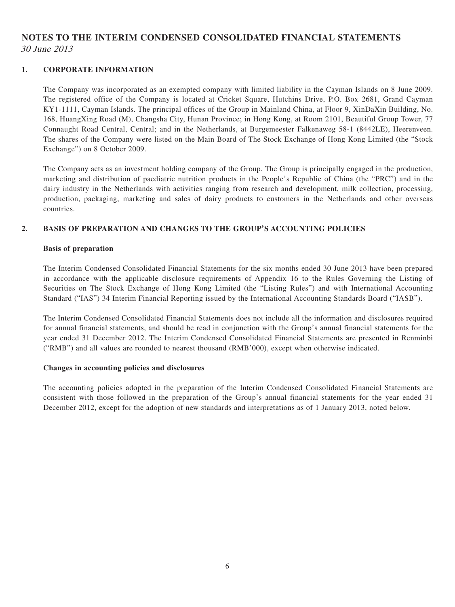# **NOTES TO THE INTERIM CONDENSED CONSOLIDATED FINANCIAL STATEMENTS** 30 June 2013

#### **1. CORPORATE INFORMATION**

The Company was incorporated as an exempted company with limited liability in the Cayman Islands on 8 June 2009. The registered office of the Company is located at Cricket Square, Hutchins Drive, P.O. Box 2681, Grand Cayman KY1-1111, Cayman Islands. The principal offices of the Group in Mainland China, at Floor 9, XinDaXin Building, No. 168, HuangXing Road (M), Changsha City, Hunan Province; in Hong Kong, at Room 2101, Beautiful Group Tower, 77 Connaught Road Central, Central; and in the Netherlands, at Burgemeester Falkenaweg 58-1 (8442LE), Heerenveen. The shares of the Company were listed on the Main Board of The Stock Exchange of Hong Kong Limited (the "Stock Exchange") on 8 October 2009.

The Company acts as an investment holding company of the Group. The Group is principally engaged in the production, marketing and distribution of paediatric nutrition products in the People's Republic of China (the "PRC") and in the dairy industry in the Netherlands with activities ranging from research and development, milk collection, processing, production, packaging, marketing and sales of dairy products to customers in the Netherlands and other overseas countries.

#### **2. BASIS OF PREPARATION AND CHANGES TO THE GROUP'S ACCOUNTING POLICIES**

#### **Basis of preparation**

The Interim Condensed Consolidated Financial Statements for the six months ended 30 June 2013 have been prepared in accordance with the applicable disclosure requirements of Appendix 16 to the Rules Governing the Listing of Securities on The Stock Exchange of Hong Kong Limited (the "Listing Rules") and with International Accounting Standard ("IAS") 34 Interim Financial Reporting issued by the International Accounting Standards Board ("IASB").

The Interim Condensed Consolidated Financial Statements does not include all the information and disclosures required for annual financial statements, and should be read in conjunction with the Group's annual financial statements for the year ended 31 December 2012. The Interim Condensed Consolidated Financial Statements are presented in Renminbi ("RMB") and all values are rounded to nearest thousand (RMB'000), except when otherwise indicated.

#### **Changes in accounting policies and disclosures**

The accounting policies adopted in the preparation of the Interim Condensed Consolidated Financial Statements are consistent with those followed in the preparation of the Group's annual financial statements for the year ended 31 December 2012, except for the adoption of new standards and interpretations as of 1 January 2013, noted below.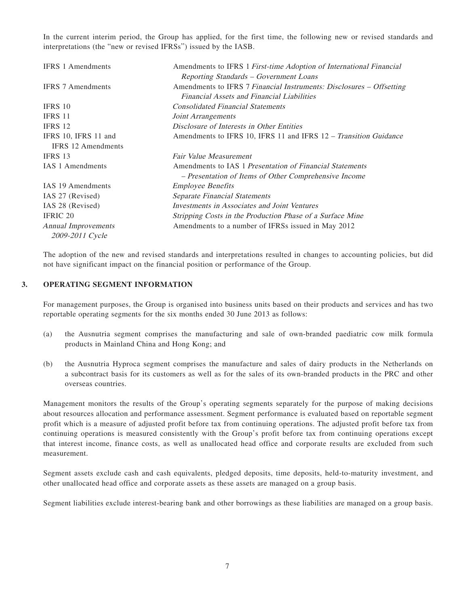In the current interim period, the Group has applied, for the first time, the following new or revised standards and interpretations (the "new or revised IFRSs") issued by the IASB.

| <b>IFRS 1 Amendments</b>   | Amendments to IFRS 1 First-time Adoption of International Financial  |
|----------------------------|----------------------------------------------------------------------|
|                            | Reporting Standards - Government Loans                               |
| <b>IFRS</b> 7 Amendments   | Amendments to IFRS 7 Financial Instruments: Disclosures – Offsetting |
|                            | <b>Financial Assets and Financial Liabilities</b>                    |
| IFRS 10                    | <b>Consolidated Financial Statements</b>                             |
| <b>IFRS 11</b>             | Joint Arrangements                                                   |
| IFRS 12                    | Disclosure of Interests in Other Entities                            |
| IFRS 10, IFRS 11 and       | Amendments to IFRS 10, IFRS 11 and IFRS 12 – Transition Guidance     |
| <b>IFRS</b> 12 Amendments  |                                                                      |
| IFRS 13                    | <b>Fair Value Measurement</b>                                        |
| IAS 1 Amendments           | Amendments to IAS 1 Presentation of Financial Statements             |
|                            | - Presentation of Items of Other Comprehensive Income                |
| IAS 19 Amendments          | <i><b>Employee Benefits</b></i>                                      |
| IAS 27 (Revised)           | Separate Financial Statements                                        |
| IAS 28 (Revised)           | Investments in Associates and Joint Ventures                         |
| <b>IFRIC 20</b>            | Stripping Costs in the Production Phase of a Surface Mine            |
| <b>Annual Improvements</b> | Amendments to a number of IFRSs issued in May 2012                   |
| 2009-2011 Cycle            |                                                                      |

The adoption of the new and revised standards and interpretations resulted in changes to accounting policies, but did not have significant impact on the financial position or performance of the Group.

#### **3. OPERATING SEGMENT INFORMATION**

For management purposes, the Group is organised into business units based on their products and services and has two reportable operating segments for the six months ended 30 June 2013 as follows:

- (a) the Ausnutria segment comprises the manufacturing and sale of own-branded paediatric cow milk formula products in Mainland China and Hong Kong; and
- (b) the Ausnutria Hyproca segment comprises the manufacture and sales of dairy products in the Netherlands on a subcontract basis for its customers as well as for the sales of its own-branded products in the PRC and other overseas countries.

Management monitors the results of the Group's operating segments separately for the purpose of making decisions about resources allocation and performance assessment. Segment performance is evaluated based on reportable segment profit which is a measure of adjusted profit before tax from continuing operations. The adjusted profit before tax from continuing operations is measured consistently with the Group's profit before tax from continuing operations except that interest income, finance costs, as well as unallocated head office and corporate results are excluded from such measurement.

Segment assets exclude cash and cash equivalents, pledged deposits, time deposits, held-to-maturity investment, and other unallocated head office and corporate assets as these assets are managed on a group basis.

Segment liabilities exclude interest-bearing bank and other borrowings as these liabilities are managed on a group basis.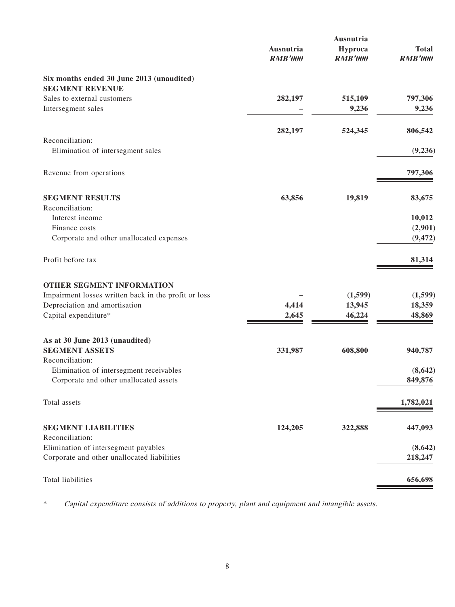|                                                      | Ausnutria      | Ausnutria<br>Hyproca | <b>Total</b>   |
|------------------------------------------------------|----------------|----------------------|----------------|
|                                                      | <b>RMB'000</b> | <b>RMB'000</b>       | <b>RMB'000</b> |
| Six months ended 30 June 2013 (unaudited)            |                |                      |                |
| <b>SEGMENT REVENUE</b>                               |                |                      |                |
| Sales to external customers                          | 282,197        | 515,109              | 797,306        |
| Intersegment sales                                   |                | 9,236                | 9,236          |
|                                                      | 282,197        | 524,345              | 806,542        |
| Reconciliation:                                      |                |                      |                |
| Elimination of intersegment sales                    |                |                      | (9,236)        |
| Revenue from operations                              |                |                      | 797,306        |
| <b>SEGMENT RESULTS</b>                               | 63,856         | 19,819               | 83,675         |
| Reconciliation:                                      |                |                      |                |
| Interest income                                      |                |                      | 10,012         |
| Finance costs                                        |                |                      | (2,901)        |
| Corporate and other unallocated expenses             |                |                      | (9, 472)       |
| Profit before tax                                    |                |                      | 81,314         |
| OTHER SEGMENT INFORMATION                            |                |                      |                |
| Impairment losses written back in the profit or loss |                | (1,599)              | (1,599)        |
| Depreciation and amortisation                        | 4,414          | 13,945               | 18,359         |
| Capital expenditure*                                 | 2,645          | 46,224               | 48,869         |
| As at 30 June 2013 (unaudited)                       |                |                      |                |
| <b>SEGMENT ASSETS</b>                                | 331,987        | 608,800              | 940,787        |
| Reconciliation:                                      |                |                      |                |
| Elimination of intersegment receivables              |                |                      | (8, 642)       |
| Corporate and other unallocated assets               |                |                      | 849,876        |
| Total assets                                         |                |                      | 1,782,021      |
|                                                      |                |                      |                |
| <b>SEGMENT LIABILITIES</b><br>Reconciliation:        | 124,205        | 322,888              | 447,093        |
| Elimination of intersegment payables                 |                |                      | (8,642)        |
| Corporate and other unallocated liabilities          |                |                      | 218,247        |
|                                                      |                |                      |                |
| Total liabilities                                    |                |                      | 656,698        |

\* Capital expenditure consists of additions to property, plant and equipment and intangible assets.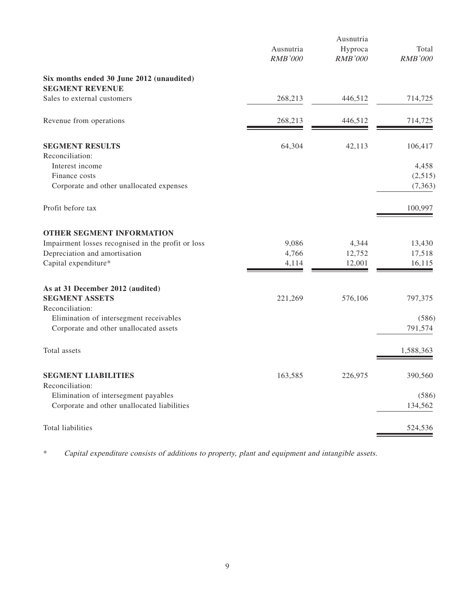|                                                                                     | Ausnutria<br><b>RMB'000</b> | Ausnutria<br>Hyproca<br><b>RMB'000</b> | Total<br><b>RMB'000</b> |
|-------------------------------------------------------------------------------------|-----------------------------|----------------------------------------|-------------------------|
|                                                                                     |                             |                                        |                         |
| Six months ended 30 June 2012 (unaudited)<br><b>SEGMENT REVENUE</b>                 |                             |                                        |                         |
| Sales to external customers                                                         | 268,213                     | 446,512                                | 714,725                 |
| Revenue from operations                                                             | 268,213                     | 446,512                                | 714,725                 |
| <b>SEGMENT RESULTS</b>                                                              | 64,304                      | 42,113                                 | 106,417                 |
| Reconciliation:                                                                     |                             |                                        |                         |
| Interest income<br>Finance costs                                                    |                             |                                        | 4,458<br>(2,515)        |
| Corporate and other unallocated expenses                                            |                             |                                        | (7, 363)                |
| Profit before tax                                                                   |                             |                                        | 100,997                 |
| OTHER SEGMENT INFORMATION                                                           |                             |                                        |                         |
| Impairment losses recognised in the profit or loss                                  | 9,086                       | 4,344                                  | 13,430                  |
| Depreciation and amortisation                                                       | 4,766                       | 12,752                                 | 17,518                  |
| Capital expenditure*                                                                | 4,114                       | 12,001                                 | 16,115                  |
| As at 31 December 2012 (audited)                                                    |                             |                                        |                         |
| <b>SEGMENT ASSETS</b>                                                               | 221,269                     | 576,106                                | 797,375                 |
| Reconciliation:                                                                     |                             |                                        |                         |
| Elimination of intersegment receivables<br>Corporate and other unallocated assets   |                             |                                        | (586)<br>791,574        |
|                                                                                     |                             |                                        |                         |
| Total assets                                                                        |                             |                                        | 1,588,363               |
| <b>SEGMENT LIABILITIES</b>                                                          | 163,585                     | 226,975                                | 390,560                 |
| Reconciliation:                                                                     |                             |                                        |                         |
| Elimination of intersegment payables<br>Corporate and other unallocated liabilities |                             |                                        | (586)<br>134,562        |
| Total liabilities                                                                   |                             |                                        | 524,536                 |

\* Capital expenditure consists of additions to property, plant and equipment and intangible assets.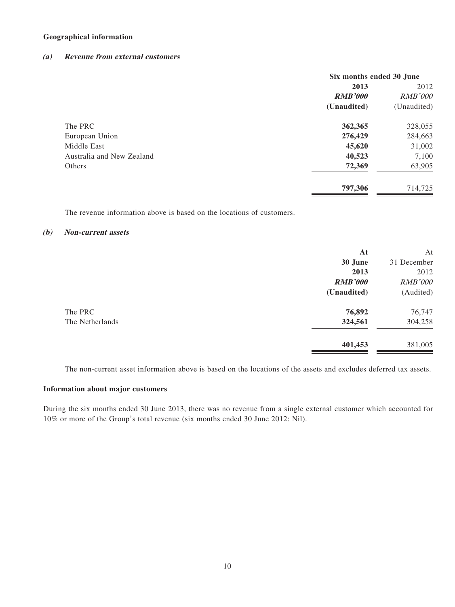#### **Geographical information**

#### **(a) Revenue from external customers**

|                           | Six months ended 30 June |                |
|---------------------------|--------------------------|----------------|
|                           | 2013                     | 2012           |
|                           | <b>RMB'000</b>           | <b>RMB'000</b> |
|                           | (Unaudited)              | (Unaudited)    |
| The PRC                   | 362,365                  | 328,055        |
| European Union            | 276,429                  | 284,663        |
| Middle East               | 45,620                   | 31,002         |
| Australia and New Zealand | 40,523                   | 7,100          |
| Others                    | 72,369                   | 63,905         |
|                           | 797,306                  | 714,725        |

The revenue information above is based on the locations of customers.

#### **(b) Non-current assets**

|                 | At             | At             |
|-----------------|----------------|----------------|
|                 | 30 June        | 31 December    |
|                 | 2013           | 2012           |
|                 | <b>RMB'000</b> | <b>RMB'000</b> |
|                 | (Unaudited)    | (Audited)      |
| The PRC         | 76,892         | 76,747         |
| The Netherlands | 324,561        | 304,258        |
|                 | 401,453        | 381,005        |

The non-current asset information above is based on the locations of the assets and excludes deferred tax assets.

#### **Information about major customers**

During the six months ended 30 June 2013, there was no revenue from a single external customer which accounted for 10% or more of the Group's total revenue (six months ended 30 June 2012: Nil).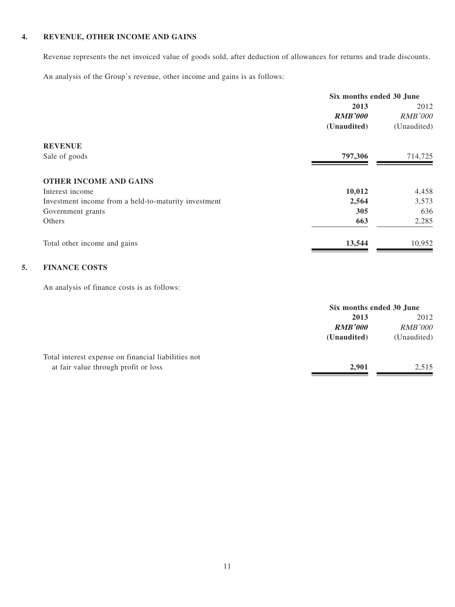#### **4. REVENUE, OTHER INCOME AND GAINS**

Revenue represents the net invoiced value of goods sold, after deduction of allowances for returns and trade discounts.

An analysis of the Group's revenue, other income and gains is as follows:

|                                                      | Six months ended 30 June |                |
|------------------------------------------------------|--------------------------|----------------|
|                                                      | 2013                     | 2012           |
|                                                      | <b>RMB'000</b>           | <b>RMB'000</b> |
|                                                      | (Unaudited)              | (Unaudited)    |
| <b>REVENUE</b>                                       |                          |                |
| Sale of goods                                        | 797,306                  | 714,725        |
| <b>OTHER INCOME AND GAINS</b>                        |                          |                |
| Interest income                                      | 10,012                   | 4,458          |
| Investment income from a held-to-maturity investment | 2,564                    | 3,573          |
| Government grants                                    | 305                      | 636            |
| Others                                               | 663                      | 2,285          |
| Total other income and gains                         | 13,544                   | 10,952         |

#### **5. FINANCE COSTS**

An analysis of finance costs is as follows:

|                                                     | Six months ended 30 June |                |
|-----------------------------------------------------|--------------------------|----------------|
|                                                     | 2013                     | 2012           |
|                                                     | <b>RMB'000</b>           | <b>RMB'000</b> |
|                                                     | (Unaudited)              | (Unaudited)    |
| Total interest expense on financial liabilities not |                          |                |
| at fair value through profit or loss                | 2,901                    | 2.515          |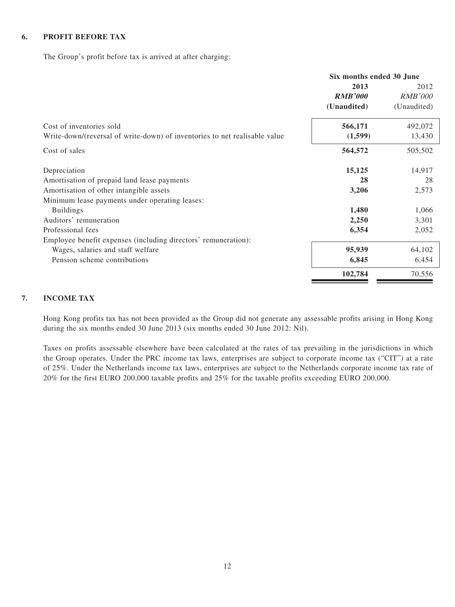#### **6. PROFIT BEFORE TAX**

The Group's profit before tax is arrived at after charging:

|                                                                            | Six months ended 30 June |                |  |
|----------------------------------------------------------------------------|--------------------------|----------------|--|
|                                                                            | 2013                     | 2012           |  |
|                                                                            | <b>RMB'000</b>           | <i>RMB'000</i> |  |
|                                                                            | (Unaudited)              | (Unaudited)    |  |
| Cost of inventories sold                                                   | 566,171                  | 492,072        |  |
| Write-down/(reversal of write-down) of inventories to net realisable value | (1,599)                  | 13,430         |  |
| Cost of sales                                                              | 564,572                  | 505,502        |  |
| Depreciation                                                               | 15,125                   | 14,917         |  |
| Amortisation of prepaid land lease payments                                | 28                       | 28             |  |
| Amortisation of other intangible assets                                    | 3,206                    | 2,573          |  |
| Minimum lease payments under operating leases:                             |                          |                |  |
| <b>Buildings</b>                                                           | 1,480                    | 1,066          |  |
| Auditors' remuneration                                                     | 2,250                    | 3,301          |  |
| Professional fees                                                          | 6,354                    | 2,052          |  |
| Employee benefit expenses (including directors' remuneration):             |                          |                |  |
| Wages, salaries and staff welfare                                          | 95,939                   | 64,102         |  |
| Pension scheme contributions                                               | 6,845                    | 6,454          |  |
|                                                                            | 102,784                  | 70,556         |  |

#### **7. INCOME TAX**

Hong Kong profits tax has not been provided as the Group did not generate any assessable profits arising in Hong Kong during the six months ended 30 June 2013 (six months ended 30 June 2012: Nil).

Taxes on profits assessable elsewhere have been calculated at the rates of tax prevailing in the jurisdictions in which the Group operates. Under the PRC income tax laws, enterprises are subject to corporate income tax ("CIT") at a rate of 25%. Under the Netherlands income tax laws, enterprises are subject to the Netherlands corporate income tax rate of 20% for the first EURO 200,000 taxable profits and 25% for the taxable profits exceeding EURO 200,000.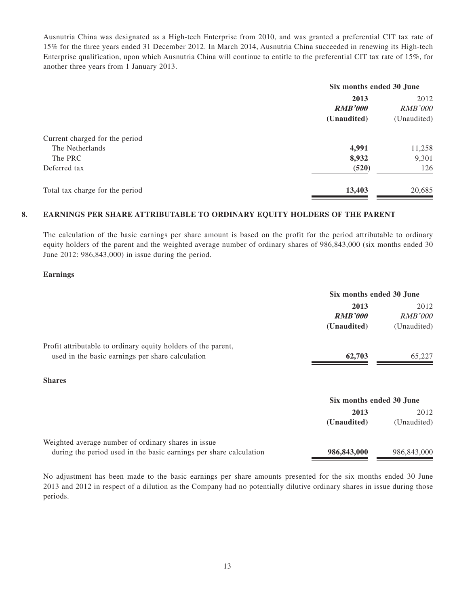Ausnutria China was designated as a High-tech Enterprise from 2010, and was granted a preferential CIT tax rate of 15% for the three years ended 31 December 2012. In March 2014, Ausnutria China succeeded in renewing its High-tech Enterprise qualification, upon which Ausnutria China will continue to entitle to the preferential CIT tax rate of 15%, for another three years from 1 January 2013.

| Six months ended 30 June |                |
|--------------------------|----------------|
| 2013                     |                |
| <b>RMB'000</b>           | <b>RMB'000</b> |
| (Unaudited)              | (Unaudited)    |
|                          |                |
| 4,991                    | 11,258         |
| 8,932                    | 9,301          |
| (520)                    | 126            |
| 13,403                   | 20,685         |
|                          |                |

#### **8. EARNINGS PER SHARE ATTRIBUTABLE TO ORDINARY EQUITY HOLDERS OF THE PARENT**

The calculation of the basic earnings per share amount is based on the profit for the period attributable to ordinary equity holders of the parent and the weighted average number of ordinary shares of 986,843,000 (six months ended 30 June 2012: 986,843,000) in issue during the period.

#### **Earnings**

|                                                                                                                           | Six months ended 30 June              |                                       |
|---------------------------------------------------------------------------------------------------------------------------|---------------------------------------|---------------------------------------|
|                                                                                                                           | 2013<br><b>RMB'000</b><br>(Unaudited) | 2012<br><b>RMB'000</b><br>(Unaudited) |
| Profit attributable to ordinary equity holders of the parent,<br>used in the basic earnings per share calculation         | 62,703                                | 65,227                                |
| <b>Shares</b>                                                                                                             |                                       |                                       |
|                                                                                                                           | Six months ended 30 June              |                                       |
|                                                                                                                           | 2013<br>(Unaudited)                   | 2012<br>(Unaudited)                   |
| Weighted average number of ordinary shares in issue<br>during the period used in the basic earnings per share calculation | 986,843,000                           | 986,843,000                           |

No adjustment has been made to the basic earnings per share amounts presented for the six months ended 30 June 2013 and 2012 in respect of a dilution as the Company had no potentially dilutive ordinary shares in issue during those periods.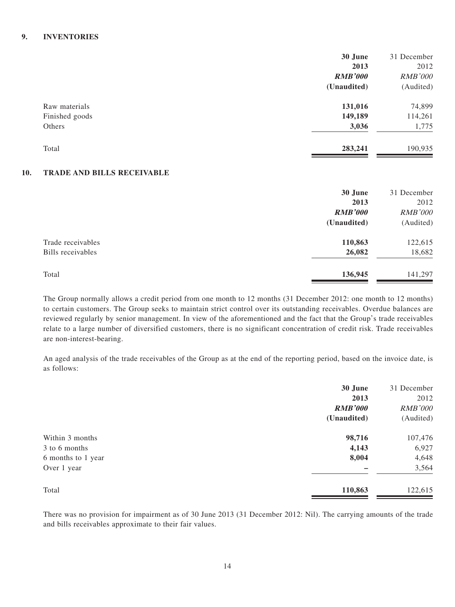#### **9. INVENTORIES**

|                                          | 30 June        | 31 December    |
|------------------------------------------|----------------|----------------|
|                                          | 2013           | 2012           |
|                                          | <b>RMB'000</b> | <b>RMB'000</b> |
|                                          | (Unaudited)    | (Audited)      |
| Raw materials                            | 131,016        | 74,899         |
| Finished goods                           | 149,189        | 114,261        |
| Others                                   | 3,036          | 1,775          |
| Total                                    | 283,241        | 190,935        |
| <b>TD 4 DE 4 ND DII I C DECEIVA DI E</b> |                |                |

#### **10. TRADE AND BILLS RECEIVABLE**

|                   | 30 June        | 31 December    |
|-------------------|----------------|----------------|
|                   | 2013           | 2012           |
|                   | <b>RMB'000</b> | <b>RMB'000</b> |
|                   | (Unaudited)    | (Audited)      |
| Trade receivables | 110,863        | 122,615        |
| Bills receivables | 26,082         | 18,682         |
| Total             | 136,945        | 141,297        |

The Group normally allows a credit period from one month to 12 months (31 December 2012: one month to 12 months) to certain customers. The Group seeks to maintain strict control over its outstanding receivables. Overdue balances are reviewed regularly by senior management. In view of the aforementioned and the fact that the Group's trade receivables relate to a large number of diversified customers, there is no significant concentration of credit risk. Trade receivables are non-interest-bearing.

An aged analysis of the trade receivables of the Group as at the end of the reporting period, based on the invoice date, is as follows:

|                    | 30 June        | 31 December    |
|--------------------|----------------|----------------|
|                    | 2013           | 2012           |
|                    | <b>RMB'000</b> | <b>RMB'000</b> |
|                    | (Unaudited)    | (Audited)      |
| Within 3 months    | 98,716         | 107,476        |
| 3 to 6 months      | 4,143          | 6,927          |
| 6 months to 1 year | 8,004          | 4,648          |
| Over 1 year        |                | 3,564          |
| Total              | 110,863        | 122,615        |

There was no provision for impairment as of 30 June 2013 (31 December 2012: Nil). The carrying amounts of the trade and bills receivables approximate to their fair values.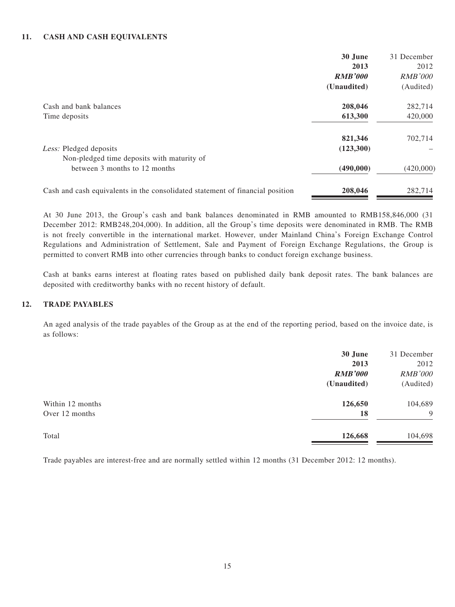#### **11. CASH AND CASH EQUIVALENTS**

|                                                                               | 30 June        | 31 December    |
|-------------------------------------------------------------------------------|----------------|----------------|
|                                                                               | 2013           | 2012           |
|                                                                               | <b>RMB'000</b> | <i>RMB'000</i> |
|                                                                               | (Unaudited)    | (Audited)      |
| Cash and bank balances                                                        | 208,046        | 282,714        |
| Time deposits                                                                 | 613,300        | 420,000        |
|                                                                               | 821,346        | 702,714        |
| Less: Pledged deposits                                                        | (123,300)      |                |
| Non-pledged time deposits with maturity of                                    |                |                |
| between 3 months to 12 months                                                 | (490,000)      | (420,000)      |
| Cash and cash equivalents in the consolidated statement of financial position | 208,046        | 282,714        |

At 30 June 2013, the Group's cash and bank balances denominated in RMB amounted to RMB158,846,000 (31 December 2012: RMB248,204,000). In addition, all the Group's time deposits were denominated in RMB. The RMB is not freely convertible in the international market. However, under Mainland China's Foreign Exchange Control Regulations and Administration of Settlement, Sale and Payment of Foreign Exchange Regulations, the Group is permitted to convert RMB into other currencies through banks to conduct foreign exchange business.

Cash at banks earns interest at floating rates based on published daily bank deposit rates. The bank balances are deposited with creditworthy banks with no recent history of default.

#### **12. TRADE PAYABLES**

An aged analysis of the trade payables of the Group as at the end of the reporting period, based on the invoice date, is as follows:

|                  | 30 June        | 31 December    |
|------------------|----------------|----------------|
|                  | 2013           | 2012           |
|                  | <b>RMB'000</b> | <b>RMB'000</b> |
|                  | (Unaudited)    | (Audited)      |
| Within 12 months | 126,650        | 104,689        |
| Over 12 months   | 18             | 9              |
| Total            | 126,668        | 104,698        |

Trade payables are interest-free and are normally settled within 12 months (31 December 2012: 12 months).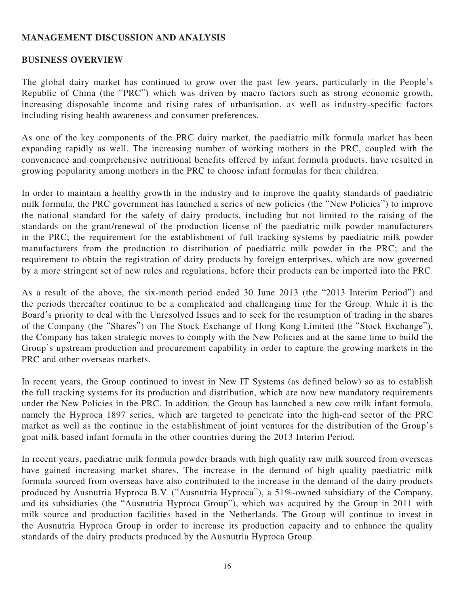### **MANAGEMENT DISCUSSION AND ANALYSIS**

### **BUSINESS OVERVIEW**

The global dairy market has continued to grow over the past few years, particularly in the People's Republic of China (the "PRC") which was driven by macro factors such as strong economic growth, increasing disposable income and rising rates of urbanisation, as well as industry-specific factors including rising health awareness and consumer preferences.

As one of the key components of the PRC dairy market, the paediatric milk formula market has been expanding rapidly as well. The increasing number of working mothers in the PRC, coupled with the convenience and comprehensive nutritional benefits offered by infant formula products, have resulted in growing popularity among mothers in the PRC to choose infant formulas for their children.

In order to maintain a healthy growth in the industry and to improve the quality standards of paediatric milk formula, the PRC government has launched a series of new policies (the "New Policies") to improve the national standard for the safety of dairy products, including but not limited to the raising of the standards on the grant/renewal of the production license of the paediatric milk powder manufacturers in the PRC; the requirement for the establishment of full tracking systems by paediatric milk powder manufacturers from the production to distribution of paediatric milk powder in the PRC; and the requirement to obtain the registration of dairy products by foreign enterprises, which are now governed by a more stringent set of new rules and regulations, before their products can be imported into the PRC.

As a result of the above, the six-month period ended 30 June 2013 (the "2013 Interim Period") and the periods thereafter continue to be a complicated and challenging time for the Group. While it is the Board's priority to deal with the Unresolved Issues and to seek for the resumption of trading in the shares of the Company (the "Shares") on The Stock Exchange of Hong Kong Limited (the "Stock Exchange"), the Company has taken strategic moves to comply with the New Policies and at the same time to build the Group's upstream production and procurement capability in order to capture the growing markets in the PRC and other overseas markets.

In recent years, the Group continued to invest in New IT Systems (as defined below) so as to establish the full tracking systems for its production and distribution, which are now new mandatory requirements under the New Policies in the PRC. In addition, the Group has launched a new cow milk infant formula, namely the Hyproca 1897 series, which are targeted to penetrate into the high-end sector of the PRC market as well as the continue in the establishment of joint ventures for the distribution of the Group's goat milk based infant formula in the other countries during the 2013 Interim Period.

In recent years, paediatric milk formula powder brands with high quality raw milk sourced from overseas have gained increasing market shares. The increase in the demand of high quality paediatric milk formula sourced from overseas have also contributed to the increase in the demand of the dairy products produced by Ausnutria Hyproca B.V. ("Ausnutria Hyproca"), a 51%-owned subsidiary of the Company, and its subsidiaries (the "Ausnutria Hyproca Group"), which was acquired by the Group in 2011 with milk source and production facilities based in the Netherlands. The Group will continue to invest in the Ausnutria Hyproca Group in order to increase its production capacity and to enhance the quality standards of the dairy products produced by the Ausnutria Hyproca Group.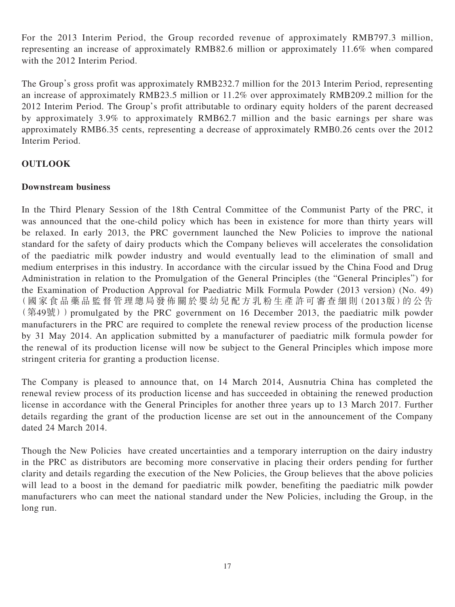For the 2013 Interim Period, the Group recorded revenue of approximately RMB797.3 million, representing an increase of approximately RMB82.6 million or approximately 11.6% when compared with the 2012 Interim Period.

The Group's gross profit was approximately RMB232.7 million for the 2013 Interim Period, representing an increase of approximately RMB23.5 million or 11.2% over approximately RMB209.2 million for the 2012 Interim Period. The Group's profit attributable to ordinary equity holders of the parent decreased by approximately 3.9% to approximately RMB62.7 million and the basic earnings per share was approximately RMB6.35 cents, representing a decrease of approximately RMB0.26 cents over the 2012 Interim Period.

# **OUTLOOK**

### **Downstream business**

In the Third Plenary Session of the 18th Central Committee of the Communist Party of the PRC, it was announced that the one-child policy which has been in existence for more than thirty years will be relaxed. In early 2013, the PRC government launched the New Policies to improve the national standard for the safety of dairy products which the Company believes will accelerates the consolidation of the paediatric milk powder industry and would eventually lead to the elimination of small and medium enterprises in this industry. In accordance with the circular issued by the China Food and Drug Administration in relation to the Promulgation of the General Principles (the "General Principles") for the Examination of Production Approval for Paediatric Milk Formula Powder (2013 version) (No. 49) (國家食品藥品監督管理總局發佈關於嬰幼兒配方乳粉生產許可審查細則(2013版)的公告  $(\frac{49\%}{849\%})$ ) promulgated by the PRC government on 16 December 2013, the paediatric milk powder manufacturers in the PRC are required to complete the renewal review process of the production license by 31 May 2014. An application submitted by a manufacturer of paediatric milk formula powder for the renewal of its production license will now be subject to the General Principles which impose more stringent criteria for granting a production license.

The Company is pleased to announce that, on 14 March 2014, Ausnutria China has completed the renewal review process of its production license and has succeeded in obtaining the renewed production license in accordance with the General Principles for another three years up to 13 March 2017. Further details regarding the grant of the production license are set out in the announcement of the Company dated 24 March 2014.

Though the New Policies have created uncertainties and a temporary interruption on the dairy industry in the PRC as distributors are becoming more conservative in placing their orders pending for further clarity and details regarding the execution of the New Policies, the Group believes that the above policies will lead to a boost in the demand for paediatric milk powder, benefiting the paediatric milk powder manufacturers who can meet the national standard under the New Policies, including the Group, in the long run.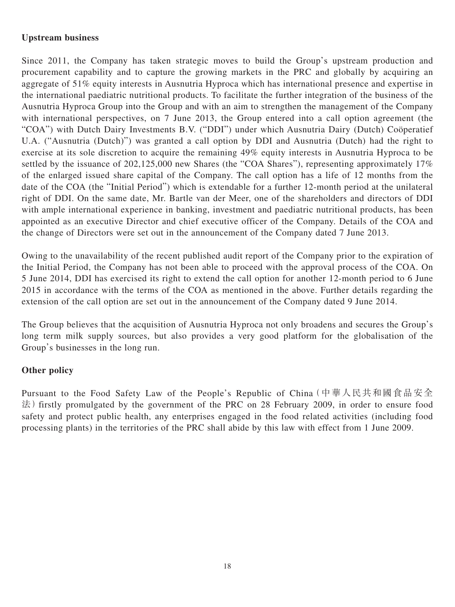# **Upstream business**

Since 2011, the Company has taken strategic moves to build the Group's upstream production and procurement capability and to capture the growing markets in the PRC and globally by acquiring an aggregate of 51% equity interests in Ausnutria Hyproca which has international presence and expertise in the international paediatric nutritional products. To facilitate the further integration of the business of the Ausnutria Hyproca Group into the Group and with an aim to strengthen the management of the Company with international perspectives, on 7 June 2013, the Group entered into a call option agreement (the "COA") with Dutch Dairy Investments B.V. ("DDI") under which Ausnutria Dairy (Dutch) Coöperatief U.A. ("Ausnutria (Dutch)") was granted a call option by DDI and Ausnutria (Dutch) had the right to exercise at its sole discretion to acquire the remaining 49% equity interests in Ausnutria Hyproca to be settled by the issuance of 202,125,000 new Shares (the "COA Shares"), representing approximately 17% of the enlarged issued share capital of the Company. The call option has a life of 12 months from the date of the COA (the "Initial Period") which is extendable for a further 12-month period at the unilateral right of DDI. On the same date, Mr. Bartle van der Meer, one of the shareholders and directors of DDI with ample international experience in banking, investment and paediatric nutritional products, has been appointed as an executive Director and chief executive officer of the Company. Details of the COA and the change of Directors were set out in the announcement of the Company dated 7 June 2013.

Owing to the unavailability of the recent published audit report of the Company prior to the expiration of the Initial Period, the Company has not been able to proceed with the approval process of the COA. On 5 June 2014, DDI has exercised its right to extend the call option for another 12-month period to 6 June 2015 in accordance with the terms of the COA as mentioned in the above. Further details regarding the extension of the call option are set out in the announcement of the Company dated 9 June 2014.

The Group believes that the acquisition of Ausnutria Hyproca not only broadens and secures the Group's long term milk supply sources, but also provides a very good platform for the globalisation of the Group's businesses in the long run.

# **Other policy**

Pursuant to the Food Safety Law of the People's Republic of China(中華人民共和國食品安全 法) firstly promulgated by the government of the PRC on 28 February 2009, in order to ensure food safety and protect public health, any enterprises engaged in the food related activities (including food processing plants) in the territories of the PRC shall abide by this law with effect from 1 June 2009.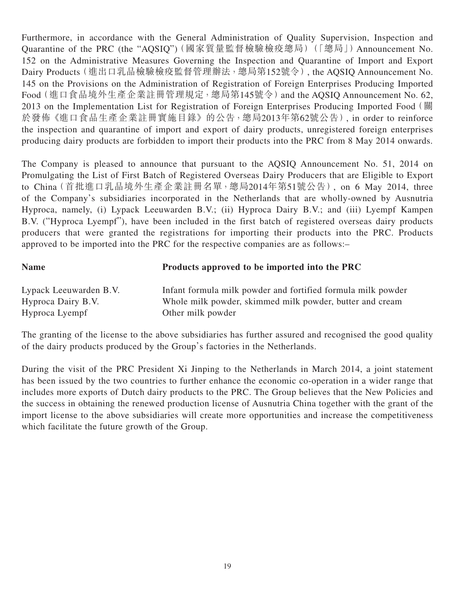Furthermore, in accordance with the General Administration of Quality Supervision, Inspection and Quarantine of the PRC (the "AQSIQ")(國家質量監督檢驗檢疫總局)(「總局」) Announcement No. 152 on the Administrative Measures Governing the Inspection and Quarantine of Import and Export Dairy Products(進出口乳品檢驗檢疫監督管理辦法,總局第152號令), the AQSIQ Announcement No. 145 on the Provisions on the Administration of Registration of Foreign Enterprises Producing Imported Food(進口食品境外生產企業註冊管理規定,總局第145號令)and the AQSIQ Announcement No. 62, 2013 on the Implementation List for Registration of Foreign Enterprises Producing Imported Food(關 於發佈《進口食品生產企業註冊實施目錄》的公告,總局2013年第62號公告), in order to reinforce the inspection and quarantine of import and export of dairy products, unregistered foreign enterprises producing dairy products are forbidden to import their products into the PRC from 8 May 2014 onwards.

The Company is pleased to announce that pursuant to the AQSIQ Announcement No. 51, 2014 on Promulgating the List of First Batch of Registered Overseas Dairy Producers that are Eligible to Export to China(首批進口乳品境外生產企業註冊名單,總局2014年第51號公告), on 6 May 2014, three of the Company's subsidiaries incorporated in the Netherlands that are wholly-owned by Ausnutria Hyproca, namely, (i) Lypack Leeuwarden B.V.; (ii) Hyproca Dairy B.V.; and (iii) Lyempf Kampen B.V. ("Hyproca Lyempf"), have been included in the first batch of registered overseas dairy products producers that were granted the registrations for importing their products into the PRC. Products approved to be imported into the PRC for the respective companies are as follows:–

| <b>Name</b>            | Products approved to be imported into the PRC                |
|------------------------|--------------------------------------------------------------|
| Lypack Leeuwarden B.V. | Infant formula milk powder and fortified formula milk powder |
| Hyproca Dairy B.V.     | Whole milk powder, skimmed milk powder, butter and cream     |
| Hyproca Lyempf         | Other milk powder                                            |

The granting of the license to the above subsidiaries has further assured and recognised the good quality of the dairy products produced by the Group's factories in the Netherlands.

During the visit of the PRC President Xi Jinping to the Netherlands in March 2014, a joint statement has been issued by the two countries to further enhance the economic co-operation in a wider range that includes more exports of Dutch dairy products to the PRC. The Group believes that the New Policies and the success in obtaining the renewed production license of Ausnutria China together with the grant of the import license to the above subsidiaries will create more opportunities and increase the competitiveness which facilitate the future growth of the Group.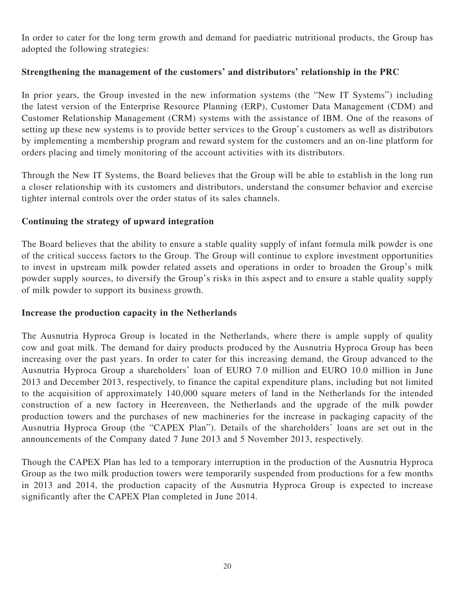In order to cater for the long term growth and demand for paediatric nutritional products, the Group has adopted the following strategies:

# **Strengthening the management of the customers' and distributors' relationship in the PRC**

In prior years, the Group invested in the new information systems (the "New IT Systems") including the latest version of the Enterprise Resource Planning (ERP), Customer Data Management (CDM) and Customer Relationship Management (CRM) systems with the assistance of IBM. One of the reasons of setting up these new systems is to provide better services to the Group's customers as well as distributors by implementing a membership program and reward system for the customers and an on-line platform for orders placing and timely monitoring of the account activities with its distributors.

Through the New IT Systems, the Board believes that the Group will be able to establish in the long run a closer relationship with its customers and distributors, understand the consumer behavior and exercise tighter internal controls over the order status of its sales channels.

# **Continuing the strategy of upward integration**

The Board believes that the ability to ensure a stable quality supply of infant formula milk powder is one of the critical success factors to the Group. The Group will continue to explore investment opportunities to invest in upstream milk powder related assets and operations in order to broaden the Group's milk powder supply sources, to diversify the Group's risks in this aspect and to ensure a stable quality supply of milk powder to support its business growth.

# **Increase the production capacity in the Netherlands**

The Ausnutria Hyproca Group is located in the Netherlands, where there is ample supply of quality cow and goat milk. The demand for dairy products produced by the Ausnutria Hyproca Group has been increasing over the past years. In order to cater for this increasing demand, the Group advanced to the Ausnutria Hyproca Group a shareholders' loan of EURO 7.0 million and EURO 10.0 million in June 2013 and December 2013, respectively, to finance the capital expenditure plans, including but not limited to the acquisition of approximately 140,000 square meters of land in the Netherlands for the intended construction of a new factory in Heerenveen, the Netherlands and the upgrade of the milk powder production towers and the purchases of new machineries for the increase in packaging capacity of the Ausnutria Hyproca Group (the "CAPEX Plan"). Details of the shareholders' loans are set out in the announcements of the Company dated 7 June 2013 and 5 November 2013, respectively.

Though the CAPEX Plan has led to a temporary interruption in the production of the Ausnutria Hyproca Group as the two milk production towers were temporarily suspended from productions for a few months in 2013 and 2014, the production capacity of the Ausnutria Hyproca Group is expected to increase significantly after the CAPEX Plan completed in June 2014.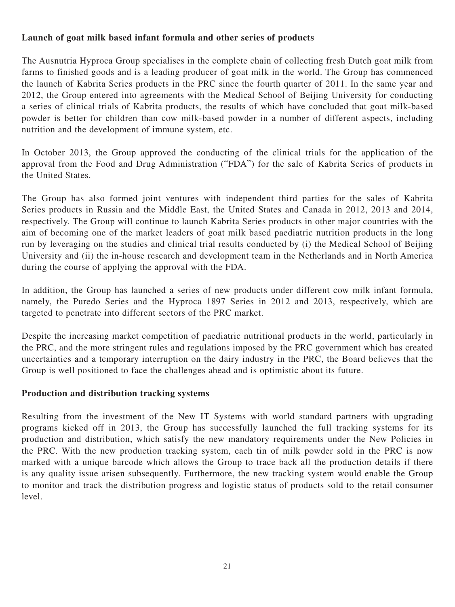# **Launch of goat milk based infant formula and other series of products**

The Ausnutria Hyproca Group specialises in the complete chain of collecting fresh Dutch goat milk from farms to finished goods and is a leading producer of goat milk in the world. The Group has commenced the launch of Kabrita Series products in the PRC since the fourth quarter of 2011. In the same year and 2012, the Group entered into agreements with the Medical School of Beijing University for conducting a series of clinical trials of Kabrita products, the results of which have concluded that goat milk-based powder is better for children than cow milk-based powder in a number of different aspects, including nutrition and the development of immune system, etc.

In October 2013, the Group approved the conducting of the clinical trials for the application of the approval from the Food and Drug Administration ("FDA") for the sale of Kabrita Series of products in the United States.

The Group has also formed joint ventures with independent third parties for the sales of Kabrita Series products in Russia and the Middle East, the United States and Canada in 2012, 2013 and 2014, respectively. The Group will continue to launch Kabrita Series products in other major countries with the aim of becoming one of the market leaders of goat milk based paediatric nutrition products in the long run by leveraging on the studies and clinical trial results conducted by (i) the Medical School of Beijing University and (ii) the in-house research and development team in the Netherlands and in North America during the course of applying the approval with the FDA.

In addition, the Group has launched a series of new products under different cow milk infant formula, namely, the Puredo Series and the Hyproca 1897 Series in 2012 and 2013, respectively, which are targeted to penetrate into different sectors of the PRC market.

Despite the increasing market competition of paediatric nutritional products in the world, particularly in the PRC, and the more stringent rules and regulations imposed by the PRC government which has created uncertainties and a temporary interruption on the dairy industry in the PRC, the Board believes that the Group is well positioned to face the challenges ahead and is optimistic about its future.

# **Production and distribution tracking systems**

Resulting from the investment of the New IT Systems with world standard partners with upgrading programs kicked off in 2013, the Group has successfully launched the full tracking systems for its production and distribution, which satisfy the new mandatory requirements under the New Policies in the PRC. With the new production tracking system, each tin of milk powder sold in the PRC is now marked with a unique barcode which allows the Group to trace back all the production details if there is any quality issue arisen subsequently. Furthermore, the new tracking system would enable the Group to monitor and track the distribution progress and logistic status of products sold to the retail consumer level.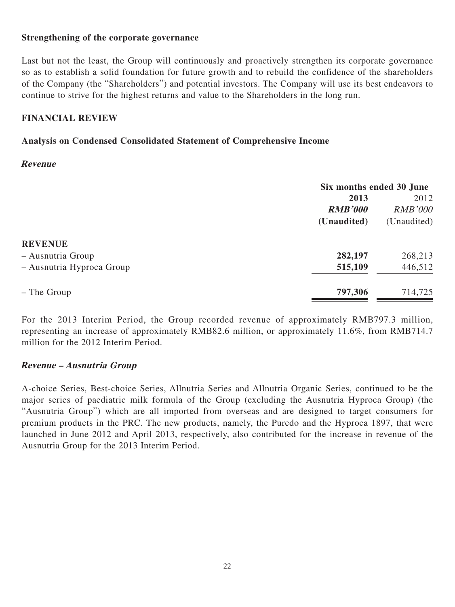### **Strengthening of the corporate governance**

Last but not the least, the Group will continuously and proactively strengthen its corporate governance so as to establish a solid foundation for future growth and to rebuild the confidence of the shareholders of the Company (the "Shareholders") and potential investors. The Company will use its best endeavors to continue to strive for the highest returns and value to the Shareholders in the long run.

### **FINANCIAL REVIEW**

# **Analysis on Condensed Consolidated Statement of Comprehensive Income**

### **Revenue**

| Six months ended 30 June |                |
|--------------------------|----------------|
| 2013                     |                |
| <b>RMB'000</b>           | <b>RMB'000</b> |
| (Unaudited)              | (Unaudited)    |
|                          |                |
| 282,197                  | 268,213        |
| 515,109                  | 446,512        |
| 797,306                  | 714,725        |
|                          |                |

For the 2013 Interim Period, the Group recorded revenue of approximately RMB797.3 million, representing an increase of approximately RMB82.6 million, or approximately 11.6%, from RMB714.7 million for the 2012 Interim Period.

# **Revenue – Ausnutria Group**

A-choice Series, Best-choice Series, Allnutria Series and Allnutria Organic Series, continued to be the major series of paediatric milk formula of the Group (excluding the Ausnutria Hyproca Group) (the "Ausnutria Group") which are all imported from overseas and are designed to target consumers for premium products in the PRC. The new products, namely, the Puredo and the Hyproca 1897, that were launched in June 2012 and April 2013, respectively, also contributed for the increase in revenue of the Ausnutria Group for the 2013 Interim Period.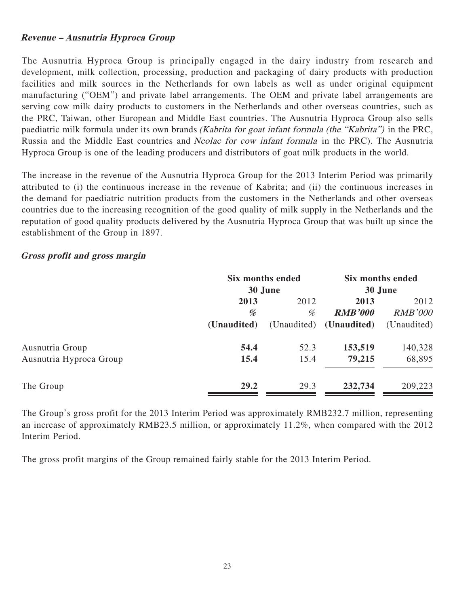# **Revenue – Ausnutria Hyproca Group**

The Ausnutria Hyproca Group is principally engaged in the dairy industry from research and development, milk collection, processing, production and packaging of dairy products with production facilities and milk sources in the Netherlands for own labels as well as under original equipment manufacturing ("OEM") and private label arrangements. The OEM and private label arrangements are serving cow milk dairy products to customers in the Netherlands and other overseas countries, such as the PRC, Taiwan, other European and Middle East countries. The Ausnutria Hyproca Group also sells paediatric milk formula under its own brands (Kabrita for goat infant formula (the "Kabrita") in the PRC, Russia and the Middle East countries and Neolac for cow infant formula in the PRC). The Ausnutria Hyproca Group is one of the leading producers and distributors of goat milk products in the world.

The increase in the revenue of the Ausnutria Hyproca Group for the 2013 Interim Period was primarily attributed to (i) the continuous increase in the revenue of Kabrita; and (ii) the continuous increases in the demand for paediatric nutrition products from the customers in the Netherlands and other overseas countries due to the increasing recognition of the good quality of milk supply in the Netherlands and the reputation of good quality products delivered by the Ausnutria Hyproca Group that was built up since the establishment of the Group in 1897.

### **Gross profit and gross margin**

|                         |             | Six months ended |                         | Six months ended |  |
|-------------------------|-------------|------------------|-------------------------|------------------|--|
|                         |             | 30 June          |                         | 30 June          |  |
|                         | 2013        | 2012             | 2013                    | 2012             |  |
|                         | %           | %                | <b>RMB'000</b>          | <b>RMB'000</b>   |  |
|                         | (Unaudited) |                  | (Unaudited) (Unaudited) | (Unaudited)      |  |
| Ausnutria Group         | 54.4        | 52.3             | 153,519                 | 140,328          |  |
| Ausnutria Hyproca Group | 15.4        | 15.4             | 79,215                  | 68,895           |  |
| The Group               | 29.2        | 29.3             | 232,734                 | 209,223          |  |

The Group's gross profit for the 2013 Interim Period was approximately RMB232.7 million, representing an increase of approximately RMB23.5 million, or approximately 11.2%, when compared with the 2012 Interim Period.

The gross profit margins of the Group remained fairly stable for the 2013 Interim Period.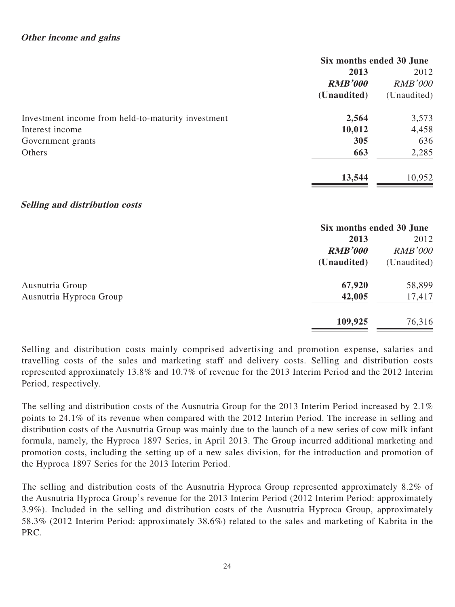### **Other income and gains**

|                                                    | Six months ended 30 June |                |
|----------------------------------------------------|--------------------------|----------------|
|                                                    | 2013                     |                |
|                                                    | <b>RMB'000</b>           | <b>RMB'000</b> |
|                                                    | (Unaudited)              | (Unaudited)    |
| Investment income from held-to-maturity investment | 2,564                    | 3,573          |
| Interest income                                    | 10,012                   | 4,458          |
| Government grants                                  | 305                      | 636            |
| Others                                             | 663                      | 2,285          |
|                                                    | 13,544                   | 10,952         |

#### **Selling and distribution costs**

|                         | Six months ended 30 June |                |
|-------------------------|--------------------------|----------------|
|                         | 2013                     | 2012           |
|                         | <b>RMB'000</b>           | <b>RMB'000</b> |
|                         | (Unaudited)              | (Unaudited)    |
| Ausnutria Group         | 67,920                   | 58,899         |
| Ausnutria Hyproca Group | 42,005                   | 17,417         |
|                         | 109,925                  | 76,316         |

Selling and distribution costs mainly comprised advertising and promotion expense, salaries and travelling costs of the sales and marketing staff and delivery costs. Selling and distribution costs represented approximately 13.8% and 10.7% of revenue for the 2013 Interim Period and the 2012 Interim Period, respectively.

The selling and distribution costs of the Ausnutria Group for the 2013 Interim Period increased by 2.1% points to 24.1% of its revenue when compared with the 2012 Interim Period. The increase in selling and distribution costs of the Ausnutria Group was mainly due to the launch of a new series of cow milk infant formula, namely, the Hyproca 1897 Series, in April 2013. The Group incurred additional marketing and promotion costs, including the setting up of a new sales division, for the introduction and promotion of the Hyproca 1897 Series for the 2013 Interim Period.

The selling and distribution costs of the Ausnutria Hyproca Group represented approximately 8.2% of the Ausnutria Hyproca Group's revenue for the 2013 Interim Period (2012 Interim Period: approximately 3.9%). Included in the selling and distribution costs of the Ausnutria Hyproca Group, approximately 58.3% (2012 Interim Period: approximately 38.6%) related to the sales and marketing of Kabrita in the PRC.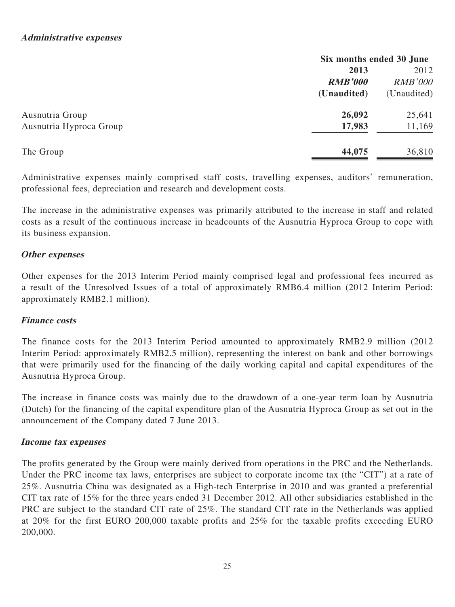|                         | Six months ended 30 June |                |
|-------------------------|--------------------------|----------------|
|                         | 2013                     | 2012           |
|                         | <b>RMB'000</b>           | <b>RMB'000</b> |
|                         | (Unaudited)              | (Unaudited)    |
| Ausnutria Group         | 26,092                   | 25,641         |
| Ausnutria Hyproca Group | 17,983                   | 11,169         |
| The Group               | 44,075                   | 36,810         |
|                         |                          |                |

Administrative expenses mainly comprised staff costs, travelling expenses, auditors' remuneration, professional fees, depreciation and research and development costs.

The increase in the administrative expenses was primarily attributed to the increase in staff and related costs as a result of the continuous increase in headcounts of the Ausnutria Hyproca Group to cope with its business expansion.

# **Other expenses**

Other expenses for the 2013 Interim Period mainly comprised legal and professional fees incurred as a result of the Unresolved Issues of a total of approximately RMB6.4 million (2012 Interim Period: approximately RMB2.1 million).

### **Finance costs**

The finance costs for the 2013 Interim Period amounted to approximately RMB2.9 million (2012 Interim Period: approximately RMB2.5 million), representing the interest on bank and other borrowings that were primarily used for the financing of the daily working capital and capital expenditures of the Ausnutria Hyproca Group.

The increase in finance costs was mainly due to the drawdown of a one-year term loan by Ausnutria (Dutch) for the financing of the capital expenditure plan of the Ausnutria Hyproca Group as set out in the announcement of the Company dated 7 June 2013.

### **Income tax expenses**

The profits generated by the Group were mainly derived from operations in the PRC and the Netherlands. Under the PRC income tax laws, enterprises are subject to corporate income tax (the "CIT") at a rate of 25%. Ausnutria China was designated as a High-tech Enterprise in 2010 and was granted a preferential CIT tax rate of 15% for the three years ended 31 December 2012. All other subsidiaries established in the PRC are subject to the standard CIT rate of 25%. The standard CIT rate in the Netherlands was applied at 20% for the first EURO 200,000 taxable profits and 25% for the taxable profits exceeding EURO 200,000.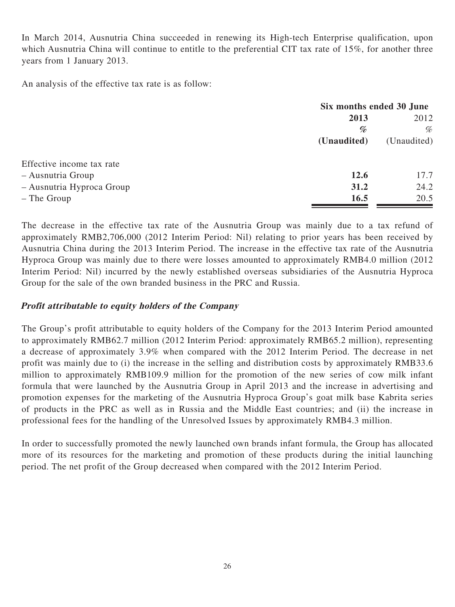In March 2014, Ausnutria China succeeded in renewing its High-tech Enterprise qualification, upon which Ausnutria China will continue to entitle to the preferential CIT tax rate of 15%, for another three years from 1 January 2013.

An analysis of the effective tax rate is as follow:

|                           | Six months ended 30 June |             |
|---------------------------|--------------------------|-------------|
|                           | 2013                     | 2012        |
|                           | %                        | %           |
|                           | (Unaudited)              | (Unaudited) |
| Effective income tax rate |                          |             |
| - Ausnutria Group         | 12.6                     | 17.7        |
| - Ausnutria Hyproca Group | 31.2                     | 24.2        |
| - The Group               | 16.5                     | 20.5        |

The decrease in the effective tax rate of the Ausnutria Group was mainly due to a tax refund of approximately RMB2,706,000 (2012 Interim Period: Nil) relating to prior years has been received by Ausnutria China during the 2013 Interim Period. The increase in the effective tax rate of the Ausnutria Hyproca Group was mainly due to there were losses amounted to approximately RMB4.0 million (2012 Interim Period: Nil) incurred by the newly established overseas subsidiaries of the Ausnutria Hyproca Group for the sale of the own branded business in the PRC and Russia.

# **Profit attributable to equity holders of the Company**

The Group's profit attributable to equity holders of the Company for the 2013 Interim Period amounted to approximately RMB62.7 million (2012 Interim Period: approximately RMB65.2 million), representing a decrease of approximately 3.9% when compared with the 2012 Interim Period. The decrease in net profit was mainly due to (i) the increase in the selling and distribution costs by approximately RMB33.6 million to approximately RMB109.9 million for the promotion of the new series of cow milk infant formula that were launched by the Ausnutria Group in April 2013 and the increase in advertising and promotion expenses for the marketing of the Ausnutria Hyproca Group's goat milk base Kabrita series of products in the PRC as well as in Russia and the Middle East countries; and (ii) the increase in professional fees for the handling of the Unresolved Issues by approximately RMB4.3 million.

In order to successfully promoted the newly launched own brands infant formula, the Group has allocated more of its resources for the marketing and promotion of these products during the initial launching period. The net profit of the Group decreased when compared with the 2012 Interim Period.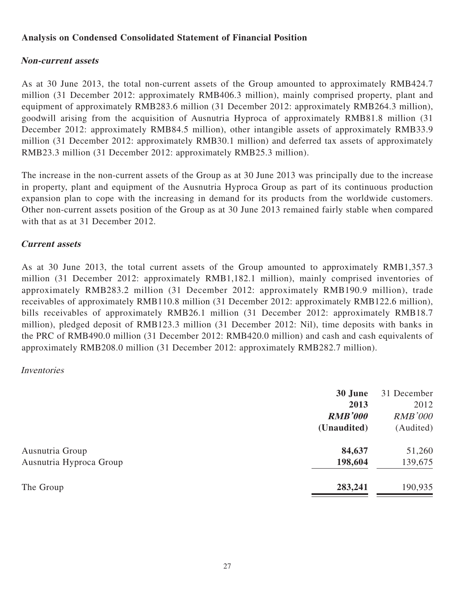# **Analysis on Condensed Consolidated Statement of Financial Position**

# **Non-current assets**

As at 30 June 2013, the total non-current assets of the Group amounted to approximately RMB424.7 million (31 December 2012: approximately RMB406.3 million), mainly comprised property, plant and equipment of approximately RMB283.6 million (31 December 2012: approximately RMB264.3 million), goodwill arising from the acquisition of Ausnutria Hyproca of approximately RMB81.8 million (31 December 2012: approximately RMB84.5 million), other intangible assets of approximately RMB33.9 million (31 December 2012: approximately RMB30.1 million) and deferred tax assets of approximately RMB23.3 million (31 December 2012: approximately RMB25.3 million).

The increase in the non-current assets of the Group as at 30 June 2013 was principally due to the increase in property, plant and equipment of the Ausnutria Hyproca Group as part of its continuous production expansion plan to cope with the increasing in demand for its products from the worldwide customers. Other non-current assets position of the Group as at 30 June 2013 remained fairly stable when compared with that as at 31 December 2012.

# **Current assets**

As at 30 June 2013, the total current assets of the Group amounted to approximately RMB1,357.3 million (31 December 2012: approximately RMB1,182.1 million), mainly comprised inventories of approximately RMB283.2 million (31 December 2012: approximately RMB190.9 million), trade receivables of approximately RMB110.8 million (31 December 2012: approximately RMB122.6 million), bills receivables of approximately RMB26.1 million (31 December 2012: approximately RMB18.7 million), pledged deposit of RMB123.3 million (31 December 2012: Nil), time deposits with banks in the PRC of RMB490.0 million (31 December 2012: RMB420.0 million) and cash and cash equivalents of approximately RMB208.0 million (31 December 2012: approximately RMB282.7 million).

### Inventories

|                         | 30 June        | 31 December    |
|-------------------------|----------------|----------------|
|                         | 2013           | 2012           |
|                         | <b>RMB'000</b> | <i>RMB'000</i> |
|                         | (Unaudited)    | (Audited)      |
| Ausnutria Group         | 84,637         | 51,260         |
| Ausnutria Hyproca Group | 198,604        | 139,675        |
| The Group               | 283,241        | 190,935        |
|                         |                |                |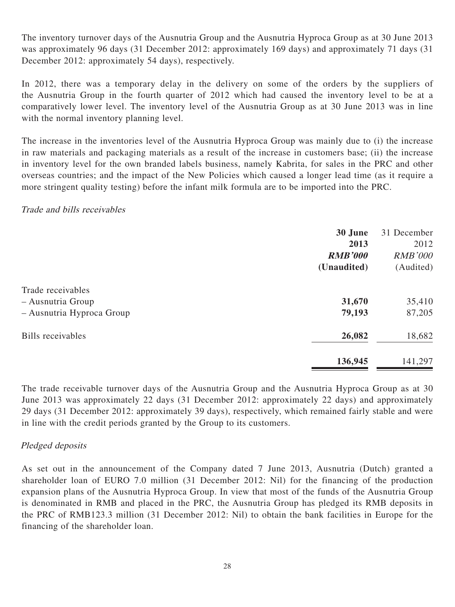The inventory turnover days of the Ausnutria Group and the Ausnutria Hyproca Group as at 30 June 2013 was approximately 96 days (31 December 2012: approximately 169 days) and approximately 71 days (31 December 2012: approximately 54 days), respectively.

In 2012, there was a temporary delay in the delivery on some of the orders by the suppliers of the Ausnutria Group in the fourth quarter of 2012 which had caused the inventory level to be at a comparatively lower level. The inventory level of the Ausnutria Group as at 30 June 2013 was in line with the normal inventory planning level.

The increase in the inventories level of the Ausnutria Hyproca Group was mainly due to (i) the increase in raw materials and packaging materials as a result of the increase in customers base; (ii) the increase in inventory level for the own branded labels business, namely Kabrita, for sales in the PRC and other overseas countries; and the impact of the New Policies which caused a longer lead time (as it require a more stringent quality testing) before the infant milk formula are to be imported into the PRC.

### Trade and bills receivables

|                                        | 30 June<br>2013<br><b>RMB'000</b> | 31 December<br>2012<br><b>RMB'000</b> |
|----------------------------------------|-----------------------------------|---------------------------------------|
|                                        | (Unaudited)                       | (Audited)                             |
| Trade receivables<br>– Ausnutria Group | 31,670                            | 35,410                                |
| - Ausnutria Hyproca Group              | 79,193                            | 87,205                                |
| Bills receivables                      | 26,082                            | 18,682                                |
|                                        | 136,945                           | 141,297                               |

The trade receivable turnover days of the Ausnutria Group and the Ausnutria Hyproca Group as at 30 June 2013 was approximately 22 days (31 December 2012: approximately 22 days) and approximately 29 days (31 December 2012: approximately 39 days), respectively, which remained fairly stable and were in line with the credit periods granted by the Group to its customers.

# Pledged deposits

As set out in the announcement of the Company dated 7 June 2013, Ausnutria (Dutch) granted a shareholder loan of EURO 7.0 million (31 December 2012: Nil) for the financing of the production expansion plans of the Ausnutria Hyproca Group. In view that most of the funds of the Ausnutria Group is denominated in RMB and placed in the PRC, the Ausnutria Group has pledged its RMB deposits in the PRC of RMB123.3 million (31 December 2012: Nil) to obtain the bank facilities in Europe for the financing of the shareholder loan.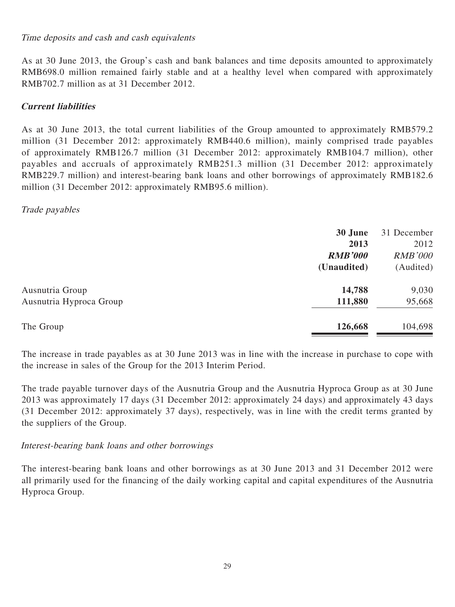### Time deposits and cash and cash equivalents

As at 30 June 2013, the Group's cash and bank balances and time deposits amounted to approximately RMB698.0 million remained fairly stable and at a healthy level when compared with approximately RMB702.7 million as at 31 December 2012.

# **Current liabilities**

As at 30 June 2013, the total current liabilities of the Group amounted to approximately RMB579.2 million (31 December 2012: approximately RMB440.6 million), mainly comprised trade payables of approximately RMB126.7 million (31 December 2012: approximately RMB104.7 million), other payables and accruals of approximately RMB251.3 million (31 December 2012: approximately RMB229.7 million) and interest-bearing bank loans and other borrowings of approximately RMB182.6 million (31 December 2012: approximately RMB95.6 million).

### Trade payables

|                         | 30 June        | 31 December    |
|-------------------------|----------------|----------------|
|                         | 2013           | 2012           |
|                         | <b>RMB'000</b> | <b>RMB'000</b> |
|                         | (Unaudited)    | (Audited)      |
| Ausnutria Group         | 14,788         | 9,030          |
| Ausnutria Hyproca Group | 111,880        | 95,668         |
| The Group               | 126,668        | 104,698        |
|                         |                |                |

The increase in trade payables as at 30 June 2013 was in line with the increase in purchase to cope with the increase in sales of the Group for the 2013 Interim Period.

The trade payable turnover days of the Ausnutria Group and the Ausnutria Hyproca Group as at 30 June 2013 was approximately 17 days (31 December 2012: approximately 24 days) and approximately 43 days (31 December 2012: approximately 37 days), respectively, was in line with the credit terms granted by the suppliers of the Group.

### Interest-bearing bank loans and other borrowings

The interest-bearing bank loans and other borrowings as at 30 June 2013 and 31 December 2012 were all primarily used for the financing of the daily working capital and capital expenditures of the Ausnutria Hyproca Group.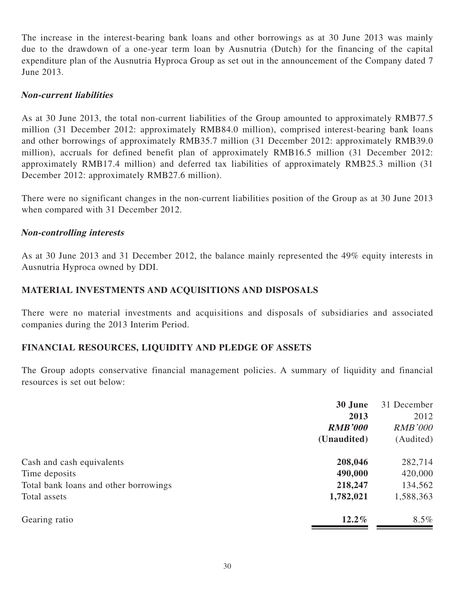The increase in the interest-bearing bank loans and other borrowings as at 30 June 2013 was mainly due to the drawdown of a one-year term loan by Ausnutria (Dutch) for the financing of the capital expenditure plan of the Ausnutria Hyproca Group as set out in the announcement of the Company dated 7 June 2013.

# **Non-current liabilities**

As at 30 June 2013, the total non-current liabilities of the Group amounted to approximately RMB77.5 million (31 December 2012: approximately RMB84.0 million), comprised interest-bearing bank loans and other borrowings of approximately RMB35.7 million (31 December 2012: approximately RMB39.0 million), accruals for defined benefit plan of approximately RMB16.5 million (31 December 2012: approximately RMB17.4 million) and deferred tax liabilities of approximately RMB25.3 million (31 December 2012: approximately RMB27.6 million).

There were no significant changes in the non-current liabilities position of the Group as at 30 June 2013 when compared with 31 December 2012.

# **Non-controlling interests**

As at 30 June 2013 and 31 December 2012, the balance mainly represented the 49% equity interests in Ausnutria Hyproca owned by DDI.

# **MATERIAL INVESTMENTS AND ACQUISITIONS AND DISPOSALS**

There were no material investments and acquisitions and disposals of subsidiaries and associated companies during the 2013 Interim Period.

# **FINANCIAL RESOURCES, LIQUIDITY AND PLEDGE OF ASSETS**

The Group adopts conservative financial management policies. A summary of liquidity and financial resources is set out below:

| 30 June        | 31 December    |
|----------------|----------------|
| 2013           | 2012           |
| <b>RMB'000</b> | <b>RMB'000</b> |
| (Unaudited)    | (Audited)      |
| 208,046        | 282,714        |
| 490,000        | 420,000        |
| 218,247        | 134,562        |
| 1,782,021      | 1,588,363      |
| $12.2\%$       | $8.5\%$        |
|                |                |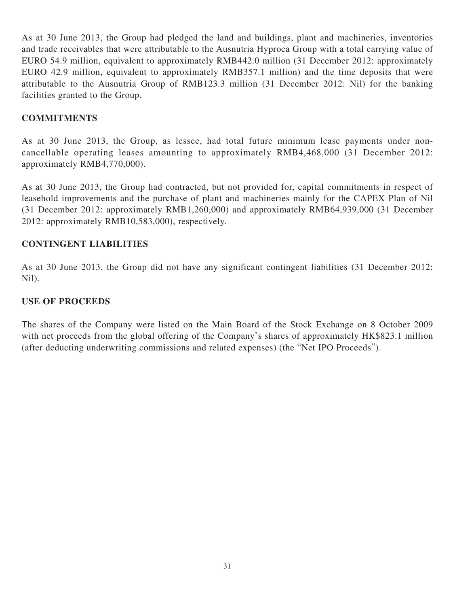As at 30 June 2013, the Group had pledged the land and buildings, plant and machineries, inventories and trade receivables that were attributable to the Ausnutria Hyproca Group with a total carrying value of EURO 54.9 million, equivalent to approximately RMB442.0 million (31 December 2012: approximately EURO 42.9 million, equivalent to approximately RMB357.1 million) and the time deposits that were attributable to the Ausnutria Group of RMB123.3 million (31 December 2012: Nil) for the banking facilities granted to the Group.

### **COMMITMENTS**

As at 30 June 2013, the Group, as lessee, had total future minimum lease payments under noncancellable operating leases amounting to approximately RMB4,468,000 (31 December 2012: approximately RMB4,770,000).

As at 30 June 2013, the Group had contracted, but not provided for, capital commitments in respect of leasehold improvements and the purchase of plant and machineries mainly for the CAPEX Plan of Nil (31 December 2012: approximately RMB1,260,000) and approximately RMB64,939,000 (31 December 2012: approximately RMB10,583,000), respectively.

# **CONTINGENT LIABILITIES**

As at 30 June 2013, the Group did not have any significant contingent liabilities (31 December 2012: Nil).

### **USE OF PROCEEDS**

The shares of the Company were listed on the Main Board of the Stock Exchange on 8 October 2009 with net proceeds from the global offering of the Company's shares of approximately HK\$823.1 million (after deducting underwriting commissions and related expenses) (the "Net IPO Proceeds").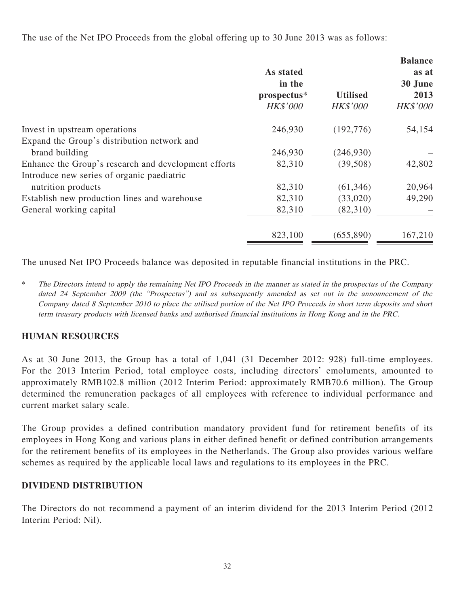The use of the Net IPO Proceeds from the global offering up to 30 June 2013 was as follows:

|                                                      |                 |                 | <b>Balance</b>  |
|------------------------------------------------------|-----------------|-----------------|-----------------|
|                                                      | As stated       |                 | as at           |
|                                                      | in the          |                 | 30 June<br>2013 |
|                                                      | prospectus*     | <b>Utilised</b> |                 |
|                                                      | <b>HK\$'000</b> | <b>HK\$'000</b> | <b>HK\$'000</b> |
| Invest in upstream operations                        | 246,930         | (192, 776)      | 54,154          |
| Expand the Group's distribution network and          |                 |                 |                 |
| brand building                                       | 246,930         | (246,930)       |                 |
| Enhance the Group's research and development efforts | 82,310          | (39,508)        | 42,802          |
| Introduce new series of organic paediatric           |                 |                 |                 |
| nutrition products                                   | 82,310          | (61, 346)       | 20,964          |
| Establish new production lines and warehouse         | 82,310          | (33,020)        | 49,290          |
| General working capital                              | 82,310          | (82,310)        |                 |
|                                                      | 823,100         | (655,890)       | 167,210         |

The unused Net IPO Proceeds balance was deposited in reputable financial institutions in the PRC.

\* The Directors intend to apply the remaining Net IPO Proceeds in the manner as stated in the prospectus of the Company dated 24 September 2009 (the "Prospectus") and as subsequently amended as set out in the announcement of the Company dated 8 September 2010 to place the utilised portion of the Net IPO Proceeds in short term deposits and short term treasury products with licensed banks and authorised financial institutions in Hong Kong and in the PRC.

# **HUMAN RESOURCES**

As at 30 June 2013, the Group has a total of 1,041 (31 December 2012: 928) full-time employees. For the 2013 Interim Period, total employee costs, including directors' emoluments, amounted to approximately RMB102.8 million (2012 Interim Period: approximately RMB70.6 million). The Group determined the remuneration packages of all employees with reference to individual performance and current market salary scale.

The Group provides a defined contribution mandatory provident fund for retirement benefits of its employees in Hong Kong and various plans in either defined benefit or defined contribution arrangements for the retirement benefits of its employees in the Netherlands. The Group also provides various welfare schemes as required by the applicable local laws and regulations to its employees in the PRC.

# **DIVIDEND DISTRIBUTION**

The Directors do not recommend a payment of an interim dividend for the 2013 Interim Period (2012 Interim Period: Nil).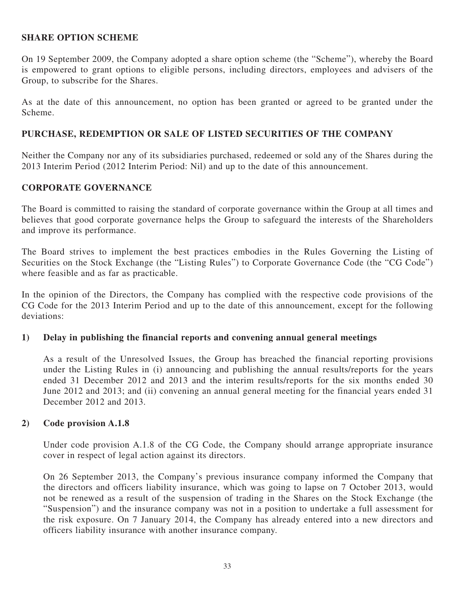### **SHARE OPTION SCHEME**

On 19 September 2009, the Company adopted a share option scheme (the "Scheme"), whereby the Board is empowered to grant options to eligible persons, including directors, employees and advisers of the Group, to subscribe for the Shares.

As at the date of this announcement, no option has been granted or agreed to be granted under the Scheme.

### **PURCHASE, REDEMPTION OR SALE OF LISTED SECURITIES OF THE COMPANY**

Neither the Company nor any of its subsidiaries purchased, redeemed or sold any of the Shares during the 2013 Interim Period (2012 Interim Period: Nil) and up to the date of this announcement.

### **CORPORATE GOVERNANCE**

The Board is committed to raising the standard of corporate governance within the Group at all times and believes that good corporate governance helps the Group to safeguard the interests of the Shareholders and improve its performance.

The Board strives to implement the best practices embodies in the Rules Governing the Listing of Securities on the Stock Exchange (the "Listing Rules") to Corporate Governance Code (the "CG Code") where feasible and as far as practicable.

In the opinion of the Directors, the Company has complied with the respective code provisions of the CG Code for the 2013 Interim Period and up to the date of this announcement, except for the following deviations:

### **1) Delay in publishing the financial reports and convening annual general meetings**

As a result of the Unresolved Issues, the Group has breached the financial reporting provisions under the Listing Rules in (i) announcing and publishing the annual results/reports for the years ended 31 December 2012 and 2013 and the interim results/reports for the six months ended 30 June 2012 and 2013; and (ii) convening an annual general meeting for the financial years ended 31 December 2012 and 2013.

### **2) Code provision A.1.8**

Under code provision A.1.8 of the CG Code, the Company should arrange appropriate insurance cover in respect of legal action against its directors.

On 26 September 2013, the Company's previous insurance company informed the Company that the directors and officers liability insurance, which was going to lapse on 7 October 2013, would not be renewed as a result of the suspension of trading in the Shares on the Stock Exchange (the "Suspension") and the insurance company was not in a position to undertake a full assessment for the risk exposure. On 7 January 2014, the Company has already entered into a new directors and officers liability insurance with another insurance company.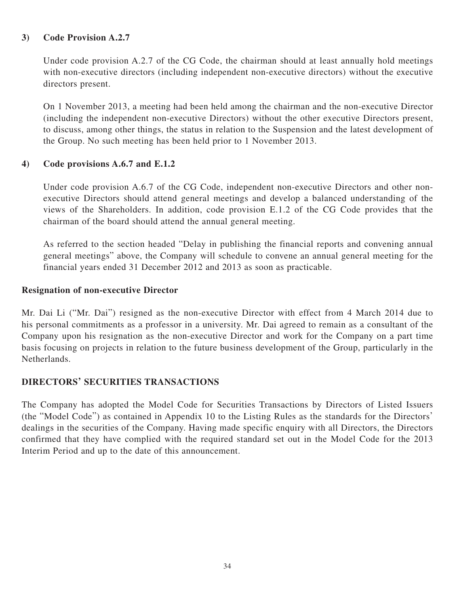# **3) Code Provision A.2.7**

Under code provision A.2.7 of the CG Code, the chairman should at least annually hold meetings with non-executive directors (including independent non-executive directors) without the executive directors present.

On 1 November 2013, a meeting had been held among the chairman and the non-executive Director (including the independent non-executive Directors) without the other executive Directors present, to discuss, among other things, the status in relation to the Suspension and the latest development of the Group. No such meeting has been held prior to 1 November 2013.

# **4) Code provisions A.6.7 and E.1.2**

Under code provision A.6.7 of the CG Code, independent non-executive Directors and other nonexecutive Directors should attend general meetings and develop a balanced understanding of the views of the Shareholders. In addition, code provision E.1.2 of the CG Code provides that the chairman of the board should attend the annual general meeting.

As referred to the section headed "Delay in publishing the financial reports and convening annual general meetings" above, the Company will schedule to convene an annual general meeting for the financial years ended 31 December 2012 and 2013 as soon as practicable.

# **Resignation of non-executive Director**

Mr. Dai Li ("Mr. Dai") resigned as the non-executive Director with effect from 4 March 2014 due to his personal commitments as a professor in a university. Mr. Dai agreed to remain as a consultant of the Company upon his resignation as the non-executive Director and work for the Company on a part time basis focusing on projects in relation to the future business development of the Group, particularly in the Netherlands.

# **DIRECTORS' SECURITIES TRANSACTIONS**

The Company has adopted the Model Code for Securities Transactions by Directors of Listed Issuers (the "Model Code") as contained in Appendix 10 to the Listing Rules as the standards for the Directors' dealings in the securities of the Company. Having made specific enquiry with all Directors, the Directors confirmed that they have complied with the required standard set out in the Model Code for the 2013 Interim Period and up to the date of this announcement.